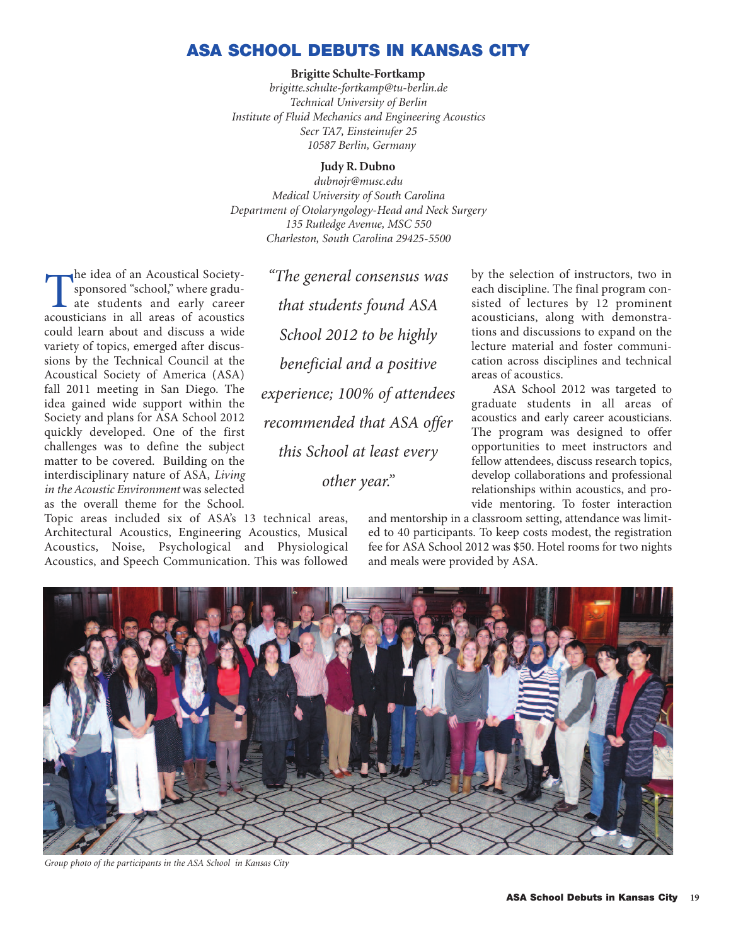## **ASA SCHOOL DEBUTS IN KANSAS CITY**

## **Brigitte Schulte-Fortkamp**

*brigitte.schulte-fortkamp@tu-berlin.de Technical University of Berlin Institute of Fluid Mechanics and Engineering Acoustics Secr TA7, Einsteinufer 25 10587 Berlin, Germany*

## **Judy R. Dubno**

*dubnojr@musc.edu Medical University of South Carolina Department of Otolaryngology-Head and Neck Surgery 135 Rutledge Avenue, MSC 550 Charleston, South Carolina 29425-5500*

The idea of an Acoustical Society-<br>sponsored "school," where gradu-<br>ate students and early career<br>acousticians in all areas of acoustics sponsored "school," where graduate students and early career acousticians in all areas of acoustics could learn about and discuss a wide variety of topics, emerged after discussions by the Technical Council at the Acoustical Society of America (ASA) fall 2011 meeting in San Diego. The idea gained wide support within the Society and plans for ASA School 2012 quickly developed. One of the first challenges was to define the subject matter to be covered. Building on the interdisciplinary nature of ASA, *Living in the Acoustic Environment* was selected as the overall theme for the School.

Topic areas included six of ASA's 13 technical areas, Architectural Acoustics, Engineering Acoustics, Musical Acoustics, Noise, Psychological and Physiological Acoustics, and Speech Communication. This was followed

*"The general consensus was that students found ASA School 2012 to be highly beneficial and a positive experience; 100% of attendees recommended that ASA offer this School at least every other year."*

by the selection of instructors, two in each discipline. The final program consisted of lectures by 12 prominent acousticians, along with demonstrations and discussions to expand on the lecture material and foster communication across disciplines and technical areas of acoustics.

ASA School 2012 was targeted to graduate students in all areas of acoustics and early career acousticians. The program was designed to offer opportunities to meet instructors and fellow attendees, discuss research topics, develop collaborations and professional relationships within acoustics, and provide mentoring. To foster interaction

and mentorship in a classroom setting, attendance was limited to 40 participants. To keep costs modest, the registration fee for ASA School 2012 was \$50. Hotel rooms for two nights and meals were provided by ASA.



*Group photo of the participants in the ASA School in Kansas City*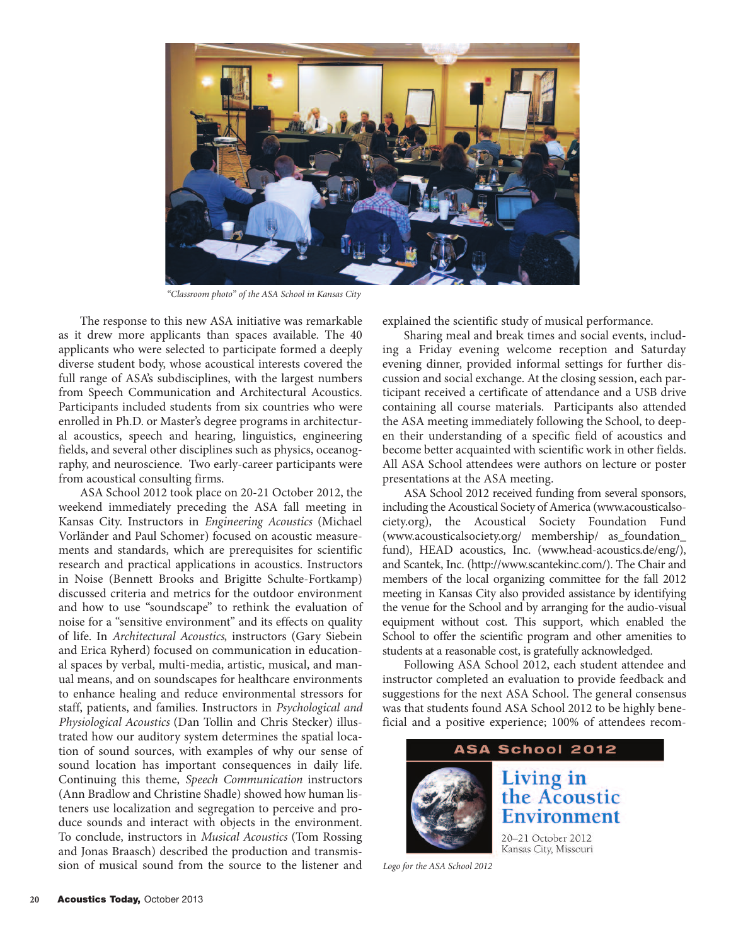

*"Classroom photo" of the ASA School in Kansas City*

The response to this new ASA initiative was remarkable as it drew more applicants than spaces available. The 40 applicants who were selected to participate formed a deeply diverse student body, whose acoustical interests covered the full range of ASA's subdisciplines, with the largest numbers from Speech Communication and Architectural Acoustics. Participants included students from six countries who were enrolled in Ph.D. or Master's degree programs in architectural acoustics, speech and hearing, linguistics, engineering fields, and several other disciplines such as physics, oceanography, and neuroscience. Two early-career participants were from acoustical consulting firms.

ASA School 2012 took place on 20-21 October 2012, the weekend immediately preceding the ASA fall meeting in Kansas City. Instructors in *Engineering Acoustics* (Michael Vorländer and Paul Schomer) focused on acoustic measurements and standards, which are prerequisites for scientific research and practical applications in acoustics. Instructors in Noise (Bennett Brooks and Brigitte Schulte-Fortkamp) discussed criteria and metrics for the outdoor environment and how to use "soundscape" to rethink the evaluation of noise for a "sensitive environment" and its effects on quality of life. In *Architectural Acoustics*, instructors (Gary Siebein and Erica Ryherd) focused on communication in educational spaces by verbal, multi‐media, artistic, musical, and manual means, and on soundscapes for healthcare environments to enhance healing and reduce environmental stressors for staff, patients, and families. Instructors in *Psychological and Physiological Acoustics* (Dan Tollin and Chris Stecker) illustrated how our auditory system determines the spatial location of sound sources, with examples of why our sense of sound location has important consequences in daily life. Continuing this theme, *Speech Communication* instructors (Ann Bradlow and Christine Shadle) showed how human listeners use localization and segregation to perceive and produce sounds and interact with objects in the environment. To conclude, instructors in *Musical Acoustics* (Tom Rossing and Jonas Braasch) described the production and transmission of musical sound from the source to the listener and

explained the scientific study of musical performance.

Sharing meal and break times and social events, including a Friday evening welcome reception and Saturday evening dinner, provided informal settings for further discussion and social exchange. At the closing session, each participant received a certificate of attendance and a USB drive containing all course materials. Participants also attended the ASA meeting immediately following the School, to deepen their understanding of a specific field of acoustics and become better acquainted with scientific work in other fields. All ASA School attendees were authors on lecture or poster presentations at the ASA meeting.

ASA School 2012 received funding from several sponsors, including the Acoustical Society of America (www.acousticalsociety.org), the Acoustical Society Foundation Fund (www.acousticalsociety.org/ membership/ as\_foundation\_ fund), HEAD acoustics, Inc. (www.head-acoustics.de/eng/), and Scantek, Inc. (http://www.scantekinc.com/). The Chair and members of the local organizing committee for the fall 2012 meeting in Kansas City also provided assistance by identifying the venue for the School and by arranging for the audio-visual equipment without cost. This support, which enabled the School to offer the scientific program and other amenities to students at a reasonable cost, is gratefully acknowledged.

Following ASA School 2012, each student attendee and instructor completed an evaluation to provide feedback and suggestions for the next ASA School. The general consensus was that students found ASA School 2012 to be highly beneficial and a positive experience; 100% of attendees recom-



*Logo for the ASA School 2012*